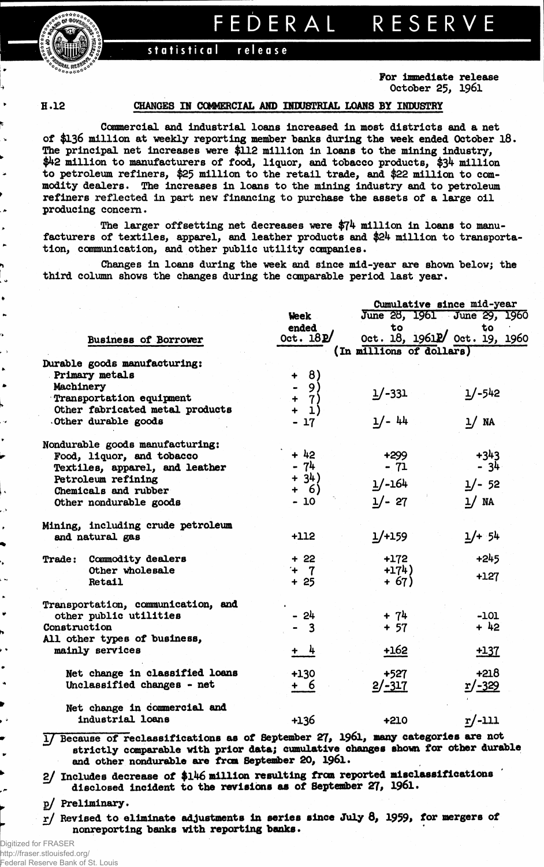**FEDERA L RESERV E**



**statistical release**

**For immediate release October 25, 1961**

**H.12** 

 $\overline{a}$  $\lambda$  $\blacksquare$ 

h

 $\bullet$ 

ı.

 $\bullet$ 

۰.

 $\bullet$ 

h

 $\bullet$ 

## **CHANGES IN COMMERCIAL AND INDUSTRIAL LOANS BY INDUSTRY**

**Commercial and industrial loans increased in most districts and a net of \$136 million at weekly reporting member "banks during the week ended October 18. The principal net increases were \$112 million in loans to the mining industry, \$42 million to manufacturers of food, liquor, and tobacco products, \$34 million to petroleum refiners, \$25 million to the retail trade, and \$22 million to commodity dealers. The increases in loans to the mining industry and to petroleum refiners reflected in part new financing to purchase the assets of a large oil producing concern.**

**The larger offsetting net decreases were \$74 million in loans to manufacturers of textiles, apparel, and leather products and \$24 million to transportation, communication, and other public utility companies.**

**Changes in loans during the week and since mid-year are shown below; the third column shows the changes during the comparable period last year.**

|                                    |                                        | Cumulative since mid-year |                                        |  |  |
|------------------------------------|----------------------------------------|---------------------------|----------------------------------------|--|--|
|                                    | <b>Week</b>                            |                           | June 28, 1961 June 29, 1960            |  |  |
|                                    | ended                                  |                           |                                        |  |  |
| <b>Business of Borrower</b>        | Oct. $18P/$                            |                           | to to<br>Oct. 18, 19612/ Oct. 19, 1960 |  |  |
|                                    |                                        | (In millions of dollars)  |                                        |  |  |
| Durable goods manufacturing:       |                                        |                           |                                        |  |  |
| Primary metals                     | $\theta$<br>$\ddot{\phantom{1}}$       |                           |                                        |  |  |
| Machinery                          | 9 <sup>1</sup>                         |                           |                                        |  |  |
| Transportation equipment           | $\ddot{\phantom{1}}$                   | $1/-331$                  | $1/-542$                               |  |  |
| Other fabricated metal products    | $\begin{pmatrix} 7 \\ 1 \end{pmatrix}$ |                           |                                        |  |  |
| Other durable goods                | $-17$                                  | $1/- 44$                  | 1/ NA                                  |  |  |
| Nondurable goods manufacturing:    |                                        |                           |                                        |  |  |
| Food, liquor, and tobacco          | $+ 42$                                 |                           | $+343$                                 |  |  |
| Textiles, apparel, and leather     | $-74$                                  | $+299$<br>- 71            | $-34$                                  |  |  |
| Petroleum refining                 | $+ 34)$                                |                           |                                        |  |  |
| Chemicals and rubber               | + 6)                                   | $1/-164$                  | $1/- 52$                               |  |  |
| Other nondurable goods             | $-10$                                  | $1/- 27$                  | 1/ NA                                  |  |  |
| Mining, including crude petroleum  |                                        |                           |                                        |  |  |
| and natural gas                    | $+112$                                 | $1/+159$                  | $1/+54$                                |  |  |
|                                    |                                        |                           |                                        |  |  |
| Commodity dealers<br>Trade:        | $+22$                                  | $+172$                    | $+245$                                 |  |  |
| Other wholesale                    | $+ 7$                                  | $+174)$                   |                                        |  |  |
| Retail                             | $+25$                                  | $+ 67)$                   | $+127$                                 |  |  |
| Transportation, communication, and |                                        |                           |                                        |  |  |
| other public utilities             | - 24                                   | $+ 74$                    | $-101$                                 |  |  |
| Construction                       | $\overline{\mathbf{3}}$                | $+ 57$                    | $+42$                                  |  |  |
| All other types of business,       |                                        |                           |                                        |  |  |
| mainly services                    | + 4                                    | $+162$                    | $+137$                                 |  |  |
| Net change in classified loans     | +130                                   | $+527$                    | $+218$                                 |  |  |
| Unclassified changes - net         | + 6                                    | $2/-317$                  | <u>r/-329</u>                          |  |  |
| Net change in commercial and       |                                        |                           |                                        |  |  |
| industrial loans                   | +136                                   | $+210$                    | $r/-111$                               |  |  |

**1/ Because of reclassifications as of September 27# 196l, many categories are not strictly comparable with prior data; cumulative changes shown for other durable and other nondurable are frcm September 20, 1961.**

**2/ Includes decrease of \$146 million resulting from reported misclasslflcations disclosed incident to the revisions as of September 27, 1961.**

**g/ Preliminary.**

 $r$ / Revised to eliminate adjustments in series since July 8, 1959, for mergers of **nonreporting banks with reporting banks.**

Digitized for FRASER http://fraser.stlouisfed.org/ Federal Reserve Bank of St. Louis